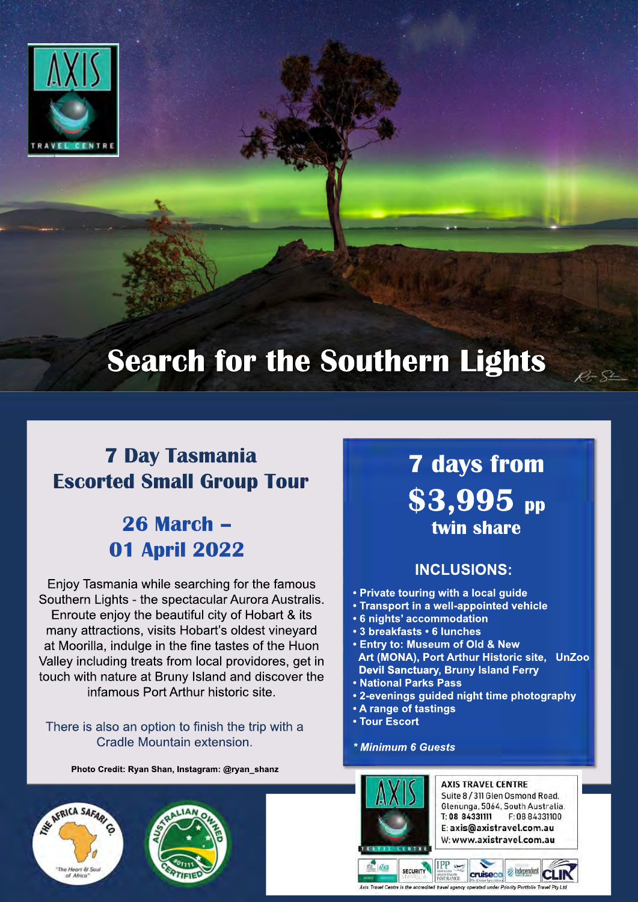

# **Search for the Southern Lights**

## **7 Day Tasmania Escorted Small Group Tour**

## **26 March – 01 April 2022**

Enjoy Tasmania while searching for the famous Southern Lights - the spectacular Aurora Australis. Enroute enjoy the beautiful city of Hobart & its many attractions, visits Hobart's oldest vineyard at Moorilla, indulge in the fine tastes of the Huon Valley including treats from local providores, get in touch with nature at Bruny Island and discover the infamous Port Arthur historic site.

### There is also an option to finish the trip with a Cradle Mountain extension.

**Photo Credit: Ryan Shan, Instagram: @ryan\_shanz**





## **7 days from \$3,995 pp twin share**

 $R = S$ 

### **INCLUSIONS:**

- **Private touring with a local guide**
- **Transport in a well-appointed vehicle**
- **6 nights' accommodation**
- **3 breakfasts 6 lunches**
- **Entry to: Museum of Old & New Art (MONA), Port Arthur Historic site, UnZoo Devil Sanctuary, Bruny Island Ferry**
- **National Parks Pass**
- **2-evenings guided night time photography**
- **A range of tastings**
- **Tour Escort**
- *\* Minimum 6 Guests*



**AXIS TRAVEL CENTRE** Suite 8 / 311 Glen Osmond Road. Glenunga, 5064, South Australia. T: 08 84331111 F: 08 84331100 E: axis@axistravel.com.au W: www.axistravel.com.au